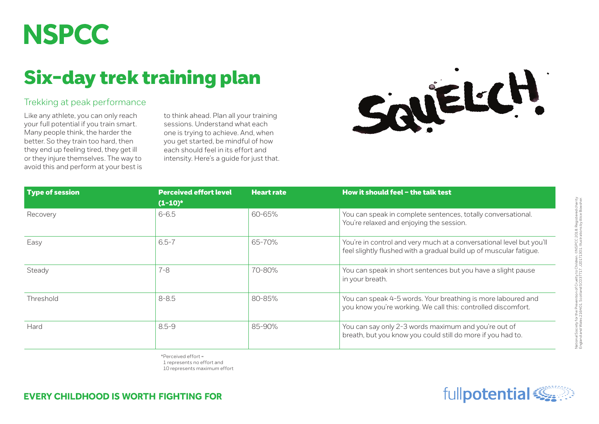## **NSPCC**

## Six-day trek training plan

## Trekking at peak performance

Like any athlete, you can only reach your full potential if you train smart. Many people think, the harder the better. So they train too hard, then they end up feeling tired, they get ill or they injure themselves. The way to avoid this and perform at your best is to think ahead. Plan all your training sessions. Understand what each one is trying to achieve. And, when you get started, be mindful of how each should feel in its effort and intensity. Here's a guide for just that.



| <b>Type of session</b> | <b>Perceived effort level</b><br>$(1-10)^*$ | <b>Heart rate</b> | How it should feel - the talk test                                                                                                         |
|------------------------|---------------------------------------------|-------------------|--------------------------------------------------------------------------------------------------------------------------------------------|
| Recovery               | $6 - 6.5$                                   | 60-65%            | You can speak in complete sentences, totally conversational.<br>You're relaxed and enjoying the session.                                   |
| Easy                   | $6.5 - 7$                                   | 65-70%            | You're in control and very much at a conversational level but you'll<br>feel slightly flushed with a gradual build up of muscular fatigue. |
| Steady                 | $7 - 8$                                     | 70-80%            | You can speak in short sentences but you have a slight pause<br>in your breath.                                                            |
| Threshold              | $8 - 8.5$                                   | 80-85%            | You can speak 4-5 words. Your breathing is more laboured and<br>you know you're working. We call this: controlled discomfort.              |
| Hard                   | $8.5 - 9$                                   | 85-90%            | You can say only 2-3 words maximum and you're out of<br>breath, but you know you could still do more if you had to.                        |

\*Perceived effort = 1 represents no effort and

10 represents maximum effort

**EVERY CHILDHOOD IS WORTH FIGHTING FOR** 

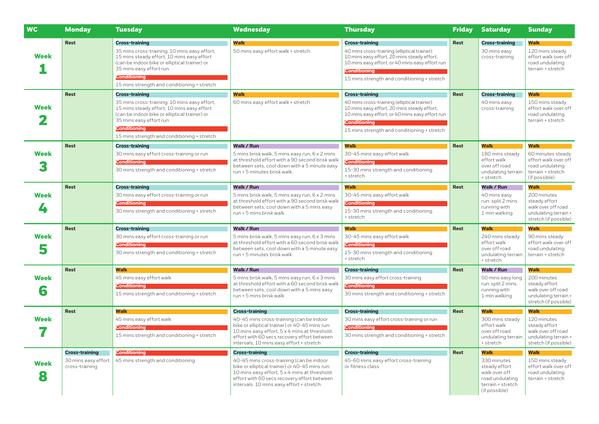| <b>WC</b>        | <b>Monday</b>                                                  | <b>Tuesday</b>                                                                                                                                                                                                                                                        | <b>Wednesday</b>                                                                                                                                                                                                                                               | <b>Thursday</b>                                                                                                                                                                                                                               | <b>Friday</b> | <b>Saturday</b>                                                                                                | <b>Sunday</b>                                                                                                      |
|------------------|----------------------------------------------------------------|-----------------------------------------------------------------------------------------------------------------------------------------------------------------------------------------------------------------------------------------------------------------------|----------------------------------------------------------------------------------------------------------------------------------------------------------------------------------------------------------------------------------------------------------------|-----------------------------------------------------------------------------------------------------------------------------------------------------------------------------------------------------------------------------------------------|---------------|----------------------------------------------------------------------------------------------------------------|--------------------------------------------------------------------------------------------------------------------|
| <b>Week</b>      | Rest                                                           | <b>Cross-training</b><br>35 mins cross-training: 10 mins easy effort,<br>15 mins steady effort, 10 mins easy effort<br>(can be indoor bike or elliptical trainer) or<br>35 mins easy effort run<br><b>Conditioning</b><br>15 mins strength and conditioning + stretch | <b>Walk</b><br>50 mins easy effort walk + stretch                                                                                                                                                                                                              | <b>Cross-training</b><br>40 mins cross-training (elliptical trainer):<br>10 mins easy effort, 20 mins steady effort,<br>10 mins easy effort, or 40 mins easy effort run<br><b>Conditioning</b><br>15 mins strength and conditioning + stretch | Rest          | <b>Cross-training</b><br>30 mins easy<br>cross-training                                                        | Walk<br>120 mins steady<br>effort walk over off<br>road undulating<br>terrain + stretch                            |
| <b>Week</b>      | <b>Rest</b>                                                    | <b>Cross-training</b><br>35 mins cross-training: 10 mins easy effort,<br>15 mins steady effort, 10 mins easy effort<br>(can be indoor bike or elliptical trainer) or<br>35 mins easy effort run<br><b>Conditioning</b><br>15 mins strength and conditioning + stretch | <b>Walk</b><br>60 mins easy effort walk + stretch                                                                                                                                                                                                              | <b>Cross-training</b><br>40 mins cross-training (elliptical trainer):<br>10 mins easy effort, 20 mins steady effort,<br>10 mins easy effort, or 40 mins easy effort run<br><b>Conditioning</b><br>15 mins strength and conditioning + stretch | Rest          | <b>Cross-training</b><br>40 mins easy<br>cross-training                                                        | Walk<br>150 mins steady<br>effort walk over off<br>road undulating<br>terrain + stretch                            |
| <b>Week</b>      | <b>Rest</b>                                                    | <b>Cross-training</b><br>30 mins easy effort cross-training or run<br><b>Conditioning</b><br>30 mins strength and conditioning + stretch                                                                                                                              | Walk / Run<br>5 mins brisk walk, 5 mins easy run, 6 x 2 mins<br>at threshold effort with a 90 second brisk walk<br>between sets, cool down with a 5 minute easy<br>run + 5 minutes brisk walk.                                                                 | <b>Walk</b><br>30-45 mins easy effort walk<br><b>Conditioning</b><br>15-30 mins strength and conditioning<br>+ stretch                                                                                                                        | Rest          | <b>Walk</b><br>180 mins steady<br>effort walk<br>over off road<br>undulating terrain<br>+ stretch              | <b>Walk</b><br>60 minutes steady<br>effort walk over off<br>road undulating<br>terrain + stretch<br>(if possible)  |
| <b>Week</b><br>4 | <b>Rest</b>                                                    | <b>Cross-training</b><br>30 mins easy effort cross-training or run<br><b>Conditioning</b><br>30 mins strength and conditioning + stretch                                                                                                                              | <b>Walk / Run</b><br>5 mins brisk walk, 5 mins easy run, 6 x 2 mins<br>at threshold effort with a 90 second brisk walk<br>between sets, cool down with a 5 mins easy<br>run + 5 mins brisk walk                                                                | <b>Walk</b><br>30-45 mins easy effort walk<br>Conditioning<br>15-30 mins strength and conditioning<br>+ stretch                                                                                                                               | Rest          | <b>Walk / Run</b><br>40 mins easy<br>run: split 2 mins<br>running with<br>1 min walking                        | <b>Walk</b><br>200 minutes<br>steady effort<br>walk over off road<br>undulating terrain +<br>stretch (if possible) |
| <b>Week</b><br>5 | <b>Rest</b>                                                    | <b>Cross-training</b><br>30 mins easy effort cross-training or run<br>Conditioning<br>30 mins strength and conditioning + stretch                                                                                                                                     | Walk / Run<br>5 mins brisk walk, 5 mins easy run, 6 x 3 mins<br>at threshold effort with a 60 second brisk walk<br>between sets, cool down with a 5 minute easy<br>run + 5 minutes brisk walk                                                                  | <b>Walk</b><br>30-45 mins easy effort walk<br><b>Conditioning</b><br>15-30 mins strength and conditioning<br>+ stretch                                                                                                                        | Rest          | <b>Walk</b><br>240 mins steady<br>effort walk<br>over off road<br>undulating terrain<br>+ stretch              | Walk<br>90 mins steady<br>effort walk over off<br>road undulating<br>terrain + stretch                             |
| <b>Week</b><br>6 | <b>Rest</b>                                                    | <b>Walk</b><br>45 mins easy effort walk<br><b>Conditioning</b><br>15 mins strength and conditioning + stretch                                                                                                                                                         | <b>Walk / Run</b><br>5 mins brisk walk, 5 mins easy run, 6 x 3 mins<br>at threshold effort with a 60 second brisk walk<br>between sets, cool down with a 5 mins easy<br>run + 5 mins brisk walk                                                                | <b>Cross-training</b><br>30 mins easy effort cross-training<br><b>Conditioning</b><br>30 mins strength and conditioning + stretch                                                                                                             | Rest          | <b>Walk / Run</b><br>50 mins easy long<br>run: split 2 mins<br>running with<br>1 min walking                   | <b>Walk</b><br>200 minutes<br>steady effort<br>walk over off road<br>undulating terrain +<br>stretch (if possible) |
| <b>Week</b>      | <b>Rest</b>                                                    | Walk<br>45 mins easy effort walk<br><b>Conditioning</b><br>15 mins strength and conditioning + stretch                                                                                                                                                                | <b>Cross-training</b><br>40-45 mins cross-training (can be indoor<br>bike or elliptical trainer) or 40-45 mins run:<br>10 mins easy effort, 5 x 4 mins at threshold<br>effort with 60 secs recovery effort between<br>intervals, 10 mins easy effort + stretch | <b>Cross-training</b><br>30 mins easy effort cross-training or run<br><b>Conditioning</b><br>30 mins strength and conditioning + stretch                                                                                                      | Rest          | <b>Walk</b><br>300 mins steady<br>effort walk<br>over off road<br>undulating terrain<br>+ stretch              | Walk<br>120 minutes<br>steady effort<br>walk over off road<br>undulating terrain +<br>stretch (if possible)        |
| <b>Week</b><br>8 | <b>Cross-training</b><br>30 mins easy effort<br>cross-training | <b>Conditioning</b><br>45 mins strength and conditioning                                                                                                                                                                                                              | <b>Cross-training</b><br>40-45 mins cross-training (can be indoor<br>bike or elliptical trainer) or 40-45 mins run:<br>10 mins easy effort, 5 x 4 mins at threshold<br>effort with 60 secs recovery effort between<br>intervals, 10 mins easy effort + stretch | <b>Cross-training</b><br>45-60 mins easy effort cross-training<br>or fitness class                                                                                                                                                            | Rest          | Walk<br>330 minutes<br>steady effort<br>walk over off<br>road undulating<br>terrain + stretch<br>(if possible) | Walk<br>150 mins steady<br>effort walk over off<br>road undulating<br>terrain + stretch                            |